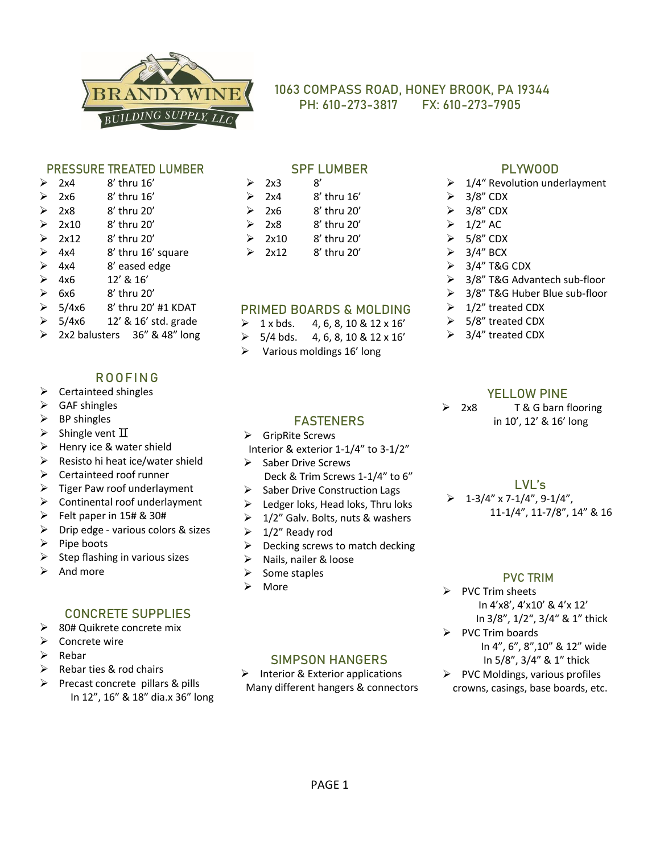

# **1063 COMPASS ROAD, HONEY BROOK, PA 19344 PH: 610-273-3817 FX: 610-273-7905**

#### PRESSURE TREATED LUMBER

| ≻                     | 2x4             | $8'$ thru $16'$    |
|-----------------------|-----------------|--------------------|
| $\blacktriangleright$ | 2x6             | 8' thru 16'        |
| $\blacktriangleright$ | 2x8             | 8' thru 20'        |
|                       | $\geq 2x10$     | 8' thru 20'        |
|                       | $\geq$ 2x12     | 8' thru 20'        |
| $\blacktriangleright$ | 4x4             | 8' thru 16' square |
| ≻                     | 4x4             | 8' eased edge      |
|                       | $\geq 4x6$      | 12' & 16'          |
|                       | $\geqslant$ 6x6 | 8' thru 20'        |
| $\sim$                |                 |                    |

- ➢ 5/4x6 8' thru 20' #1 KDAT
- 5/4x6 12' & 16' std. grade
- 2x2 balusters 36" & 48" long

## **ROOFING**

- ➢ Certainteed shingles
- $\triangleright$  GAF shingles
- $\triangleright$  BP shingles
- $\triangleright$  Shingle vent  $\mathbb I$
- $\triangleright$  Henry ice & water shield
- ➢ Resisto hi heat ice/water shield
- ➢ Certainteed roof runner
- $\triangleright$  Tiger Paw roof underlayment
- $\triangleright$  Continental roof underlayment
- ➢ Felt paper in 15# & 30#
- $\triangleright$  Drip edge various colors & sizes
- ➢ Pipe boots
- Step flashing in various sizes
- $\triangleright$  And more

# CONCRETE SUPPLIES

- ➢ 80# Quikrete concrete mix
- ➢ Concrete wire
- ➢ Rebar
- $\triangleright$  Rebar ties & rod chairs
- ➢ Precast concrete pillars & pills In 12", 16" & 18" dia.x 36" long

### SPF LUMBER

| ↘ | 2x3  | 8'          |
|---|------|-------------|
| ↘ | 2x4  | 8' thru 16' |
| ↘ | 2x6  | 8' thru 20' |
| ↘ | 2x8  | 8' thru 20' |
| ↘ | 2x10 | 8' thru 20' |
| ↘ | 2x12 | 8' thru 20' |

#### PRIMED BOARDS & MOLDING

- $\geq 1 \times bds.$  4, 6, 8, 10 & 12 x 16'
- $>$  5/4 bds. 4, 6, 8, 10 & 12 x 16'

**FASTENERS** 

Interior & exterior 1-1/4" to 3-1/2"

 Deck & Trim Screws 1-1/4" to 6" ➢ Saber Drive Construction Lags  $\triangleright$  Ledger loks, Head loks, Thru loks  $\geq 1/2$ " Galv. Bolts, nuts & washers

➢ Various moldings 16' long

➢ GripRite Screws

 $\geq 1/2$ " Ready rod

➢ More

➢ Nails, nailer & loose ➢ Some staples

➢ Saber Drive Screws

# PLYWOOD

- $\geq 1/4$ " Revolution underlayment
- $> 3/8"$  CDX
- $\geq$  3/8" CDX
- $\geq 1/2$ " AC
- $> 5/8"$  CDX
- $\geq$  3/4" BCX
- $\geq$  3/4" T&G CDX
- ➢ 3/8" T&G Advantech sub-floor
- ➢ 3/8" T&G Huber Blue sub-floor
- $\geq 1/2$ " treated CDX
- ➢ 5/8" treated CDX
- $\geq$  3/4" treated CDX

#### YELL OW PINE

- ➢ 2x8 T & G barn flooring in 10', 12' & 16' long
	- LVL's
	- $\geq 1-3/4''$  x 7-1/4", 9-1/4", 11-1/4", 11-7/8", 14" & 16

#### PVC TRIM

- ➢ PVC Trim sheets In 4'x8', 4'x10' & 4'x 12' In 3/8", 1/2", 3/4" & 1" thick
- ➢ PVC Trim boards In 4", 6", 8",10" & 12" wide
	- In 5/8", 3/4" & 1" thick
- ➢ PVC Moldings, various profiles crowns, casings, base boards, etc.

 $\triangleright$  Decking screws to match decking

# SIMPSON HANGERS

 $\triangleright$  Interior & Exterior applications Many different hangers & connectors